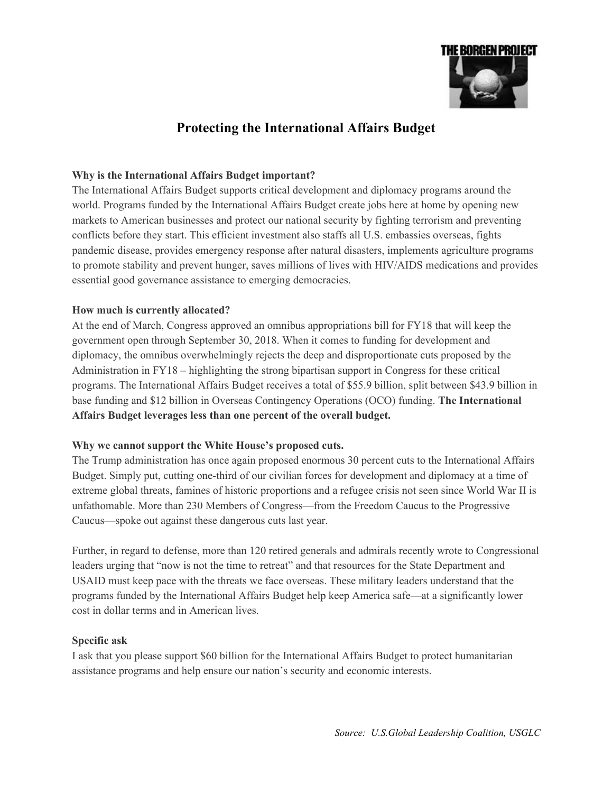

# **Protecting the International Affairs Budget**

#### **Why is the International Affairs Budget important?**

The International Affairs Budget supports critical development and diplomacy programs around the world. Programs funded by the International Affairs Budget create jobs here at home by opening new markets to American businesses and protect our national security by fighting terrorism and preventing conflicts before they start. This efficient investment also staffs all U.S. embassies overseas, fights pandemic disease, provides emergency response after natural disasters, implements agriculture programs to promote stability and prevent hunger, saves millions of lives with HIV/AIDS medications and provides essential good governance assistance to emerging democracies.

#### **How much is currently allocated?**

At the end of March, Congress approved an omnibus appropriations bill for FY18 that will keep the government open through September 30, 2018. When it comes to funding for development and diplomacy, the omnibus overwhelmingly rejects the deep and disproportionate cuts proposed by the Administration in FY18 – highlighting the strong bipartisan support in Congress for these critical programs. The International Affairs Budget receives a total of \$55.9 billion, split between \$43.9 billion in base funding and \$12 billion in Overseas Contingency Operations (OCO) funding. **The International Affairs Budget leverages less than one percent of the overall budget.**

#### **Why we cannot support the White House's proposed cuts.**

The Trump administration has once again proposed enormous 30 percent cuts to the International Affairs Budget. Simply put, cutting one-third of our civilian forces for development and diplomacy at a time of extreme global threats, famines of historic proportions and a refugee crisis not seen since World War II is unfathomable. More than 230 Members of Congress—from the Freedom Caucus to the Progressive Caucus—spoke out against these dangerous cuts last year.

Further, in regard to defense, more than 120 retired generals and admirals recently wrote to Congressional leaders urging that "now is not the time to retreat" and that resources for the State Department and USAID must keep pace with the threats we face overseas. These military leaders understand that the programs funded by the International Affairs Budget help keep America safe—at a significantly lower cost in dollar terms and in American lives.

#### **Specific ask**

I ask that you please support \$60 billion for the International Affairs Budget to protect humanitarian assistance programs and help ensure our nation's security and economic interests.